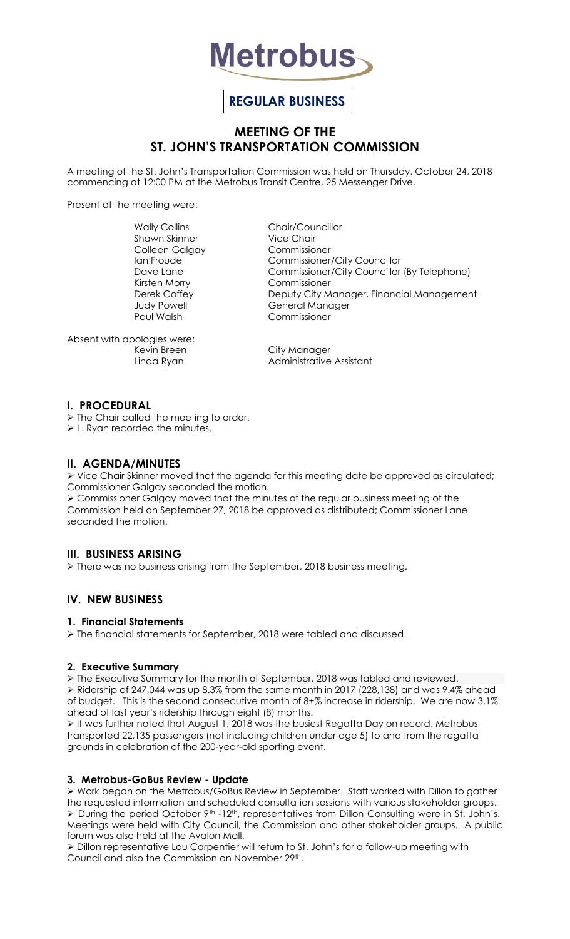

# **REGULAR BUSINESS**

## **MEETING OF THE ST. JOHN'S TRANSPORTATION COMMISSION**

A meeting of the St. John's Transportation Commission was held on Thursday, October 24, 2018 commencing at 12:00 PM at the Metrobus Transit Centre, 25 Messenger Drive.

Present at the meeting were:

Shawn Skinner Colleen Galgay Commissioner

Wally Collins Chair/Councillor<br>
Shawn Skinner Chair Chair Ian Froude Commissioner/City Councillor Dave Lane Commissioner/City Councillor (By Telephone)<br>Kirsten Morry Commissioner Commissioner Derek Coffey **Deputy City Manager, Financial Management** Judy Powell General Manager<br>
Paul Walsh Commissioner Commissioner

Absent with apologies were: Kevin Breen City Manager

Linda Ryan **Administrative Assistant** 

#### **I. PROCEDURAL**

 $\triangleright$  The Chair called the meeting to order.

L. Ryan recorded the minutes.

#### **II. AGENDA/MINUTES**

 $\triangleright$  Vice Chair Skinner moved that the agenda for this meeting date be approved as circulated; Commissioner Galgay seconded the motion.

 Commissioner Galgay moved that the minutes of the regular business meeting of the Commission held on September 27, 2018 be approved as distributed; Commissioner Lane seconded the motion.

## **III. BUSINESS ARISING**

> There was no business arising from the September, 2018 business meeting.

## **IV. NEW BUSINESS**

#### **1. Financial Statements**

The financial statements for September, 2018 were tabled and discussed.

#### **2. Executive Summary**

 $\triangleright$  The Executive Summary for the month of September, 2018 was tabled and reviewed. Ridership of 247,044 was up 8.3% from the same month in 2017 (228,138) and was 9.4% ahead of budget. This is the second consecutive month of 8+% increase in ridership. We are now 3.1% ahead of last year's ridership through eight (8) months.

It was further noted that August 1, 2018 was the busiest Regatta Day on record. Metrobus transported 22,135 passengers (not including children under age 5) to and from the regatta grounds in celebration of the 200-year-old sporting event.

#### **3. Metrobus-GoBus Review - Update**

 Work began on the Metrobus/GoBus Review in September. Staff worked with Dillon to gather the requested information and scheduled consultation sessions with various stakeholder groups.  $\triangleright$  During the period October 9<sup>th</sup> -12<sup>th</sup>, representatives from Dillon Consulting were in St. John's. Meetings were held with City Council, the Commission and other stakeholder groups. A public forum was also held at the Avalon Mall.

 Dillon representative Lou Carpentier will return to St. John's for a follow-up meeting with Council and also the Commission on November 29th.